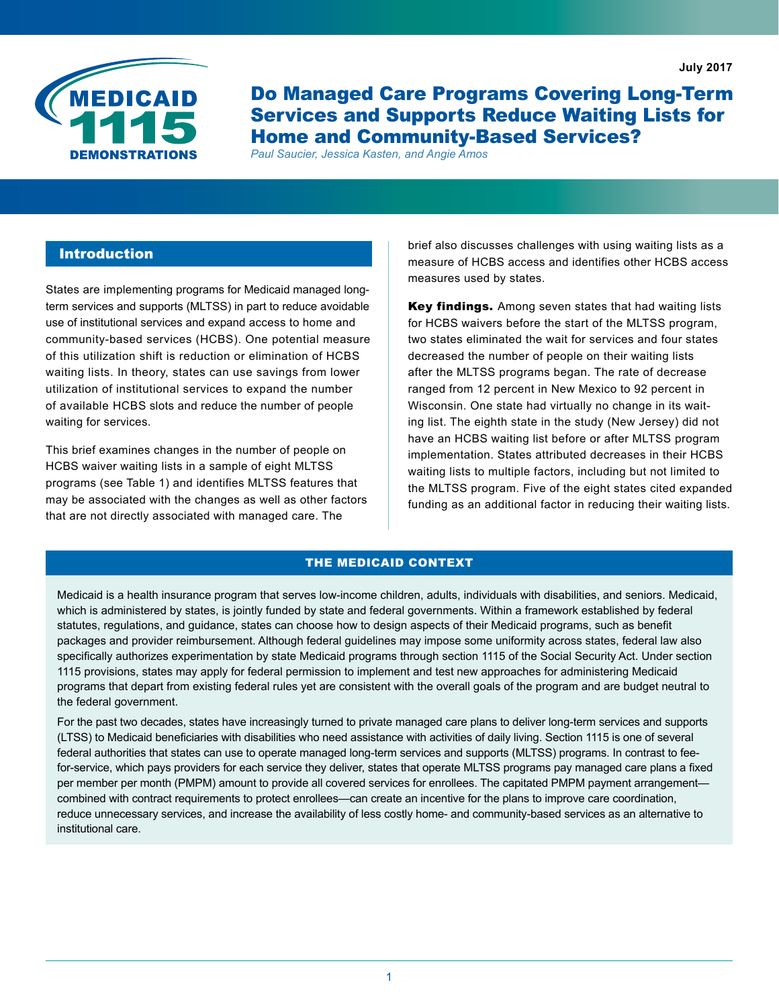**July 2017**



Do Managed Care Programs Covering Long-Term Services and Supports Reduce Waiting Lists for Home and Community-Based Services?

*Paul Saucier, Jessica Kasten, and Angie Amos*

# **Introduction**

States are implementing programs for Medicaid managed longterm services and supports (MLTSS) in part to reduce avoidable use of institutional services and expand access to home and community-based services (HCBS). One potential measure of this utilization shift is reduction or elimination of HCBS waiting lists. In theory, states can use savings from lower utilization of institutional services to expand the number of available HCBS slots and reduce the number of people waiting for services.

This brief examines changes in the number of people on HCBS waiver waiting lists in a sample of eight MLTSS programs (see Table 1) and identifies MLTSS features that may be associated with the changes as well as other factors that are not directly associated with managed care. The

brief also discusses challenges with using waiting lists as a measure of HCBS access and identifies other HCBS access measures used by states.

Key findings. Among seven states that had waiting lists for HCBS waivers before the start of the MLTSS program, two states eliminated the wait for services and four states decreased the number of people on their waiting lists after the MLTSS programs began. The rate of decrease ranged from 12 percent in New Mexico to 92 percent in Wisconsin. One state had virtually no change in its waiting list. The eighth state in the study (New Jersey) did not have an HCBS waiting list before or after MLTSS program implementation. States attributed decreases in their HCBS waiting lists to multiple factors, including but not limited to the MLTSS program. Five of the eight states cited expanded funding as an additional factor in reducing their waiting lists.

## THE MEDICAID CONTEXT

Medicaid is a health insurance program that serves low-income children, adults, individuals with disabilities, and seniors. Medicaid, which is administered by states, is jointly funded by state and federal governments. Within a framework established by federal statutes, regulations, and guidance, states can choose how to design aspects of their Medicaid programs, such as benefit packages and provider reimbursement. Although federal guidelines may impose some uniformity across states, federal law also specifically authorizes experimentation by state Medicaid programs through section 1115 of the Social Security Act. Under section 1115 provisions, states may apply for federal permission to implement and test new approaches for administering Medicaid programs that depart from existing federal rules yet are consistent with the overall goals of the program and are budget neutral to the federal government.

For the past two decades, states have increasingly turned to private managed care plans to deliver long-term services and supports (LTSS) to Medicaid beneficiaries with disabilities who need assistance with activities of daily living. Section 1115 is one of several federal authorities that states can use to operate managed long-term services and supports (MLTSS) programs. In contrast to feefor-service, which pays providers for each service they deliver, states that operate MLTSS programs pay managed care plans a fixed per member per month (PMPM) amount to provide all covered services for enrollees. The capitated PMPM payment arrangement combined with contract requirements to protect enrollees—can create an incentive for the plans to improve care coordination, reduce unnecessary services, and increase the availability of less costly home- and community-based services as an alternative to institutional care.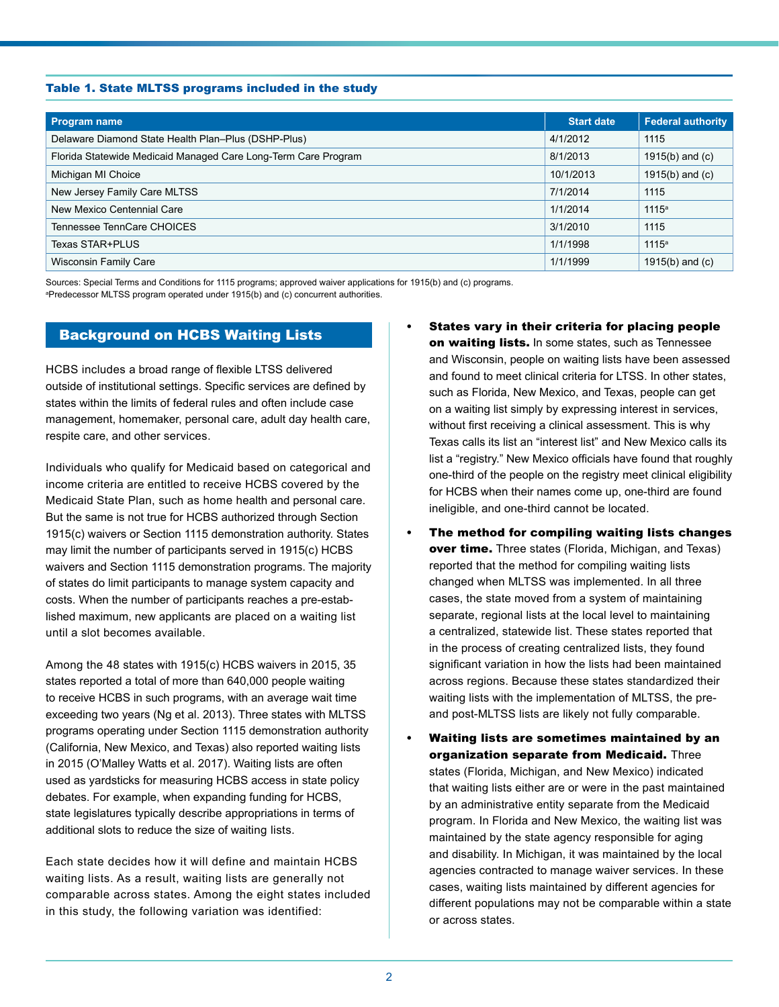#### Table 1. State MLTSS programs included in the study

| Program name                                                   | <b>Start date</b> | <b>Federal authority</b> |
|----------------------------------------------------------------|-------------------|--------------------------|
| Delaware Diamond State Health Plan-Plus (DSHP-Plus)            | 4/1/2012          | 1115                     |
| Florida Statewide Medicaid Managed Care Long-Term Care Program | 8/1/2013          | 1915(b) and $(c)$        |
| Michigan MI Choice                                             | 10/1/2013         | 1915(b) and $(c)$        |
| New Jersey Family Care MLTSS                                   | 7/1/2014          | 1115                     |
| New Mexico Centennial Care                                     | 1/1/2014          | $1115^a$                 |
| Tennessee TennCare CHOICES                                     | 3/1/2010          | 1115                     |
| Texas STAR+PLUS                                                | 1/1/1998          | $1115^a$                 |
| <b>Wisconsin Family Care</b>                                   | 1/1/1999          | 1915(b) and $(c)$        |

Sources: Special Terms and Conditions for 1115 programs; approved waiver applications for 1915(b) and (c) programs.

a Predecessor MLTSS program operated under 1915(b) and (c) concurrent authorities.

## Background on HCBS Waiting Lists

HCBS includes a broad range of flexible LTSS delivered outside of institutional settings. Specific services are defined by states within the limits of federal rules and often include case management, homemaker, personal care, adult day health care, respite care, and other services.

Individuals who qualify for Medicaid based on categorical and income criteria are entitled to receive HCBS covered by the Medicaid State Plan, such as home health and personal care. But the same is not true for HCBS authorized through Section 1915(c) waivers or Section 1115 demonstration authority. States may limit the number of participants served in 1915(c) HCBS waivers and Section 1115 demonstration programs. The majority of states do limit participants to manage system capacity and costs. When the number of participants reaches a pre-established maximum, new applicants are placed on a waiting list until a slot becomes available.

Among the 48 states with 1915(c) HCBS waivers in 2015, 35 states reported a total of more than 640,000 people waiting to receive HCBS in such programs, with an average wait time exceeding two years (Ng et al. 2013). Three states with MLTSS programs operating under Section 1115 demonstration authority (California, New Mexico, and Texas) also reported waiting lists in 2015 (O'Malley Watts et al. 2017). Waiting lists are often used as yardsticks for measuring HCBS access in state policy debates. For example, when expanding funding for HCBS, state legislatures typically describe appropriations in terms of additional slots to reduce the size of waiting lists.

Each state decides how it will define and maintain HCBS waiting lists. As a result, waiting lists are generally not comparable across states. Among the eight states included in this study, the following variation was identified:

- States vary in their criteria for placing people on waiting lists. In some states, such as Tennessee and Wisconsin, people on waiting lists have been assessed and found to meet clinical criteria for LTSS. In other states, such as Florida, New Mexico, and Texas, people can get on a waiting list simply by expressing interest in services, without first receiving a clinical assessment. This is why Texas calls its list an "interest list" and New Mexico calls its list a "registry." New Mexico officials have found that roughly one-third of the people on the registry meet clinical eligibility for HCBS when their names come up, one-third are found ineligible, and one-third cannot be located.
- • The method for compiling waiting lists changes over time. Three states (Florida, Michigan, and Texas) reported that the method for compiling waiting lists changed when MLTSS was implemented. In all three cases, the state moved from a system of maintaining separate, regional lists at the local level to maintaining a centralized, statewide list. These states reported that in the process of creating centralized lists, they found significant variation in how the lists had been maintained across regions. Because these states standardized their waiting lists with the implementation of MLTSS, the preand post-MLTSS lists are likely not fully comparable.
- Waiting lists are sometimes maintained by an organization separate from Medicaid. Three states (Florida, Michigan, and New Mexico) indicated that waiting lists either are or were in the past maintained by an administrative entity separate from the Medicaid program. In Florida and New Mexico, the waiting list was maintained by the state agency responsible for aging and disability. In Michigan, it was maintained by the local agencies contracted to manage waiver services. In these cases, waiting lists maintained by different agencies for different populations may not be comparable within a state or across states.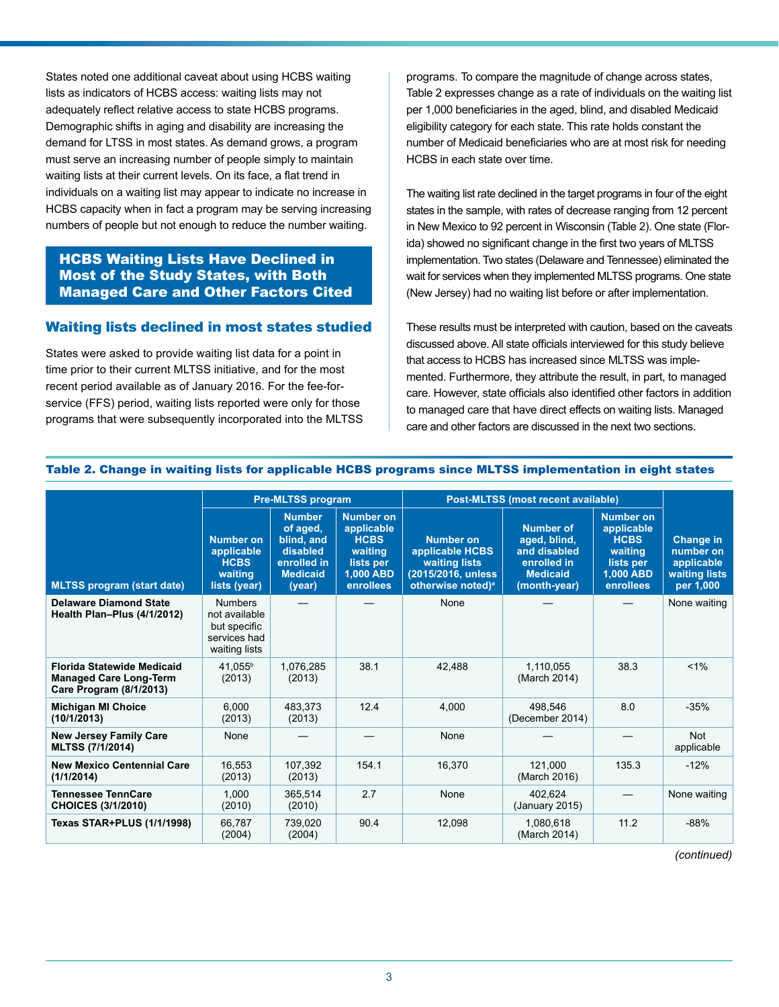States noted one additional caveat about using HCBS waiting lists as indicators of HCBS access: waiting lists may not adequately reflect relative access to state HCBS programs. Demographic shifts in aging and disability are increasing the demand for LTSS in most states. As demand grows, a program must serve an increasing number of people simply to maintain waiting lists at their current levels. On its face, a flat trend in individuals on a waiting list may appear to indicate no increase in HCBS capacity when in fact a program may be serving increasing numbers of people but not enough to reduce the number waiting.

## HCBS Waiting Lists Have Declined in Most of the Study States, with Both Managed Care and Other Factors Cited

### Waiting lists declined in most states studied

States were asked to provide waiting list data for a point in time prior to their current MLTSS initiative, and for the most recent period available as of January 2016. For the fee-forservice (FFS) period, waiting lists reported were only for those programs that were subsequently incorporated into the MLTSS

programs. To compare the magnitude of change across states, Table 2 expresses change as a rate of individuals on the waiting list per 1,000 beneficiaries in the aged, blind, and disabled Medicaid eligibility category for each state. This rate holds constant the number of Medicaid beneficiaries who are at most risk for needing HCBS in each state over time.

The waiting list rate declined in the target programs in four of the eight states in the sample, with rates of decrease ranging from 12 percent in New Mexico to 92 percent in Wisconsin (Table 2). One state (Florida) showed no significant change in the first two years of MLTSS implementation. Two states (Delaware and Tennessee) eliminated the wait for services when they implemented MLTSS programs. One state (New Jersey) had no waiting list before or after implementation.

These results must be interpreted with caution, based on the caveats discussed above. All state officials interviewed for this study believe that access to HCBS has increased since MLTSS was implemented. Furthermore, they attribute the result, in part, to managed care. However, state officials also identified other factors in addition to managed care that have direct effects on waiting lists. Managed care and other factors are discussed in the next two sections.

|                                                                                               |                                                                                  | <b>Pre-MLTSS program</b>                                                                        |                                                                                                 | Post-MLTSS (most recent available)                                                                          |                                                                                                    |                                                                                                 |                                                                           |
|-----------------------------------------------------------------------------------------------|----------------------------------------------------------------------------------|-------------------------------------------------------------------------------------------------|-------------------------------------------------------------------------------------------------|-------------------------------------------------------------------------------------------------------------|----------------------------------------------------------------------------------------------------|-------------------------------------------------------------------------------------------------|---------------------------------------------------------------------------|
| <b>MLTSS program (start date)</b>                                                             | <b>Number on</b><br>applicable<br><b>HCBS</b><br>waiting<br>lists (year)         | <b>Number</b><br>of aged,<br>blind, and<br>disabled<br>enrolled in<br><b>Medicaid</b><br>(year) | <b>Number on</b><br>applicable<br><b>HCBS</b><br>waiting<br>lists per<br>1,000 ABD<br>enrollees | <b>Number on</b><br>applicable HCBS<br>waiting lists<br>(2015/2016, unless<br>otherwise noted) <sup>a</sup> | <b>Number of</b><br>aged, blind,<br>and disabled<br>enrolled in<br><b>Medicaid</b><br>(month-year) | <b>Number</b> on<br>applicable<br><b>HCBS</b><br>waiting<br>lists per<br>1,000 ABD<br>enrollees | <b>Change in</b><br>number on<br>applicable<br>waiting lists<br>per 1,000 |
| <b>Delaware Diamond State</b><br>Health Plan-Plus (4/1/2012)                                  | <b>Numbers</b><br>not available<br>but specific<br>services had<br>waiting lists |                                                                                                 |                                                                                                 | None                                                                                                        |                                                                                                    |                                                                                                 | None waiting                                                              |
| <b>Florida Statewide Medicaid</b><br><b>Managed Care Long-Term</b><br>Care Program (8/1/2013) | 41,055 <sup>b</sup><br>(2013)                                                    | 1,076,285<br>(2013)                                                                             | 38.1                                                                                            | 42.488                                                                                                      | 1,110,055<br>(March 2014)                                                                          | 38.3                                                                                            | $< 1\%$                                                                   |
| <b>Michigan MI Choice</b><br>(10/1/2013)                                                      | 6.000<br>(2013)                                                                  | 483.373<br>(2013)                                                                               | 12.4                                                                                            | 4.000                                                                                                       | 498.546<br>(December 2014)                                                                         | 8.0                                                                                             | $-35%$                                                                    |
| <b>New Jersey Family Care</b><br><b>MLTSS (7/1/2014)</b>                                      | None                                                                             |                                                                                                 |                                                                                                 | None                                                                                                        |                                                                                                    |                                                                                                 | <b>Not</b><br>applicable                                                  |
| <b>New Mexico Centennial Care</b><br>(1/1/2014)                                               | 16.553<br>(2013)                                                                 | 107.392<br>(2013)                                                                               | 154.1                                                                                           | 16,370                                                                                                      | 121.000<br>(March 2016)                                                                            | 135.3                                                                                           | $-12%$                                                                    |
| <b>Tennessee TennCare</b><br><b>CHOICES (3/1/2010)</b>                                        | 1.000<br>(2010)                                                                  | 365.514<br>(2010)                                                                               | 2.7                                                                                             | None                                                                                                        | 402.624<br>(January 2015)                                                                          |                                                                                                 | None waiting                                                              |
| <b>Texas STAR+PLUS (1/1/1998)</b>                                                             | 66.787<br>(2004)                                                                 | 739.020<br>(2004)                                                                               | 90.4                                                                                            | 12.098                                                                                                      | 1.080.618<br>(March 2014)                                                                          | 11.2                                                                                            | $-88%$                                                                    |

#### Table 2. Change in waiting lists for applicable HCBS programs since MLTSS implementation in eight states

*(continued)*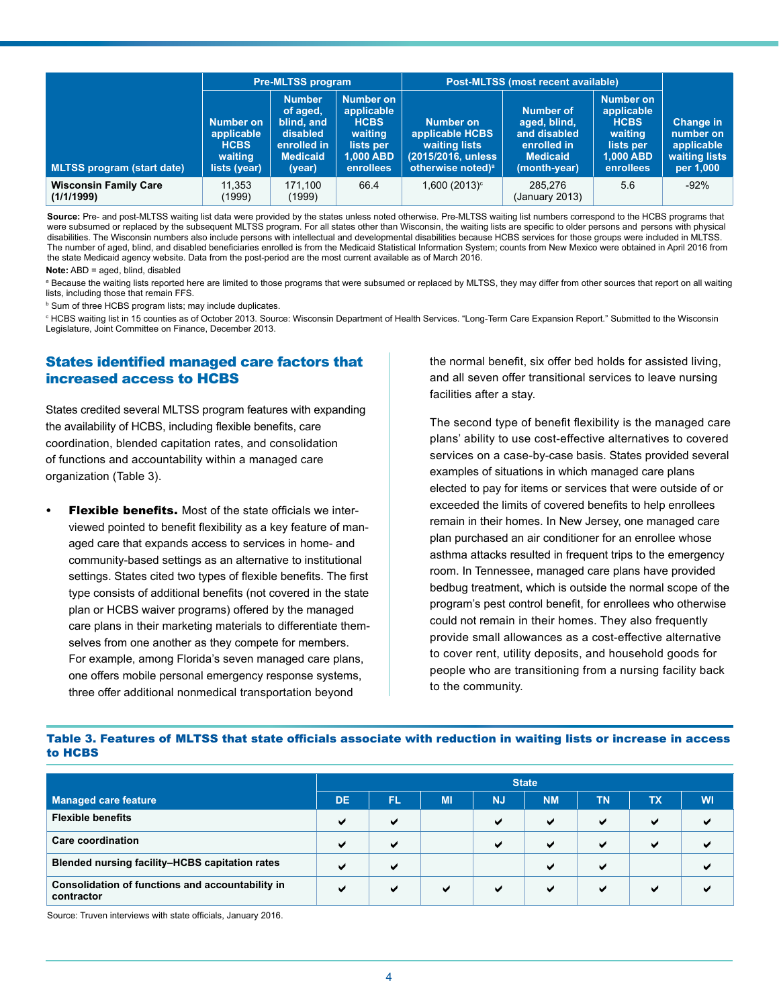|                                            |                                                                          | <b>Pre-MLTSS program</b>                                                                        |                                                                                          | <b>Post-MLTSS (most recent available)</b>                                                            |                                                                                                    |                                                                                          |                                                                           |
|--------------------------------------------|--------------------------------------------------------------------------|-------------------------------------------------------------------------------------------------|------------------------------------------------------------------------------------------|------------------------------------------------------------------------------------------------------|----------------------------------------------------------------------------------------------------|------------------------------------------------------------------------------------------|---------------------------------------------------------------------------|
| <b>MLTSS program (start date)</b>          | <b>Number on</b><br>applicable<br><b>HCBS</b><br>waiting<br>lists (year) | <b>Number</b><br>of aged,<br>blind, and<br>disabled<br>enrolled in<br><b>Medicaid</b><br>(year) | Number on<br>applicable<br><b>HCBS</b><br>waiting<br>lists per<br>1,000 ABD<br>enrollees | Number on<br>applicable HCBS<br>waiting lists<br>(2015/2016, unless<br>otherwise noted) <sup>a</sup> | <b>Number of</b><br>aged, blind,<br>and disabled<br>enrolled in<br><b>Medicaid</b><br>(month-year) | Number on<br>applicable<br><b>HCBS</b><br>waiting<br>lists per<br>1,000 ABD<br>enrollees | <b>Change in</b><br>number on<br>applicable<br>waiting lists<br>per 1,000 |
| <b>Wisconsin Family Care</b><br>(1/1/1999) | 11.353<br>(1999)                                                         | 171.100<br>(1999)                                                                               | 66.4                                                                                     | $1,600(2013)^{\circ}$                                                                                | 285.276<br>(January 2013)                                                                          | 5.6                                                                                      | $-92%$                                                                    |

**Source:** Pre- and post-MLTSS waiting list data were provided by the states unless noted otherwise. Pre-MLTSS waiting list numbers correspond to the HCBS programs that were subsumed or replaced by the subsequent MLTSS program. For all states other than Wisconsin, the waiting lists are specific to older persons and persons with physical disabilities. The Wisconsin numbers also include persons with intellectual and developmental disabilities because HCBS services for those groups were included in MLTSS. The number of aged, blind, and disabled beneficiaries enrolled is from the Medicaid Statistical Information System; counts from New Mexico were obtained in April 2016 from the state Medicaid agency website. Data from the post-period are the most current available as of March 2016.

#### **Note:** ABD = aged, blind, disabled

<sup>a</sup> Because the waiting lists reported here are limited to those programs that were subsumed or replaced by MLTSS, they may differ from other sources that report on all waiting lists, including those that remain FFS.

**b Sum of three HCBS program lists; may include duplicates.** 

c HCBS waiting list in 15 counties as of October 2013. Source: Wisconsin Department of Health Services. "Long-Term Care Expansion Report." Submitted to the Wisconsin Legislature, Joint Committee on Finance, December 2013.

## States identified managed care factors that increased access to HCBS

States credited several MLTSS program features with expanding the availability of HCBS, including flexible benefits, care coordination, blended capitation rates, and consolidation of functions and accountability within a managed care organization (Table 3).

**Flexible benefits.** Most of the state officials we interviewed pointed to benefit flexibility as a key feature of managed care that expands access to services in home- and community-based settings as an alternative to institutional settings. States cited two types of flexible benefits. The first type consists of additional benefits (not covered in the state plan or HCBS waiver programs) offered by the managed care plans in their marketing materials to differentiate themselves from one another as they compete for members. For example, among Florida's seven managed care plans, one offers mobile personal emergency response systems, three offer additional nonmedical transportation beyond

the normal benefit, six offer bed holds for assisted living, and all seven offer transitional services to leave nursing facilities after a stay.

The second type of benefit flexibility is the managed care plans' ability to use cost-effective alternatives to covered services on a case-by-case basis. States provided several examples of situations in which managed care plans elected to pay for items or services that were outside of or exceeded the limits of covered benefits to help enrollees remain in their homes. In New Jersey, one managed care plan purchased an air conditioner for an enrollee whose asthma attacks resulted in frequent trips to the emergency room. In Tennessee, managed care plans have provided bedbug treatment, which is outside the normal scope of the program's pest control benefit, for enrollees who otherwise could not remain in their homes. They also frequently provide small allowances as a cost-effective alternative to cover rent, utility deposits, and household goods for people who are transitioning from a nursing facility back to the community.

#### Table 3. Features of MLTSS that state officials associate with reduction in waiting lists or increase in access to HCBS

|                                                                | <b>State</b> |                          |              |           |              |                          |              |           |
|----------------------------------------------------------------|--------------|--------------------------|--------------|-----------|--------------|--------------------------|--------------|-----------|
| <b>Managed care feature</b>                                    | <b>DE</b>    | FL.                      | MI           | <b>NJ</b> | <b>NM</b>    | <b>TN</b>                | TХ           | <b>WI</b> |
| <b>Flexible benefits</b>                                       | м            | $\checkmark$             |              | ✔         | $\checkmark$ | ✔                        | ✔            |           |
| Care coordination                                              | м            | $\checkmark$             |              | м         | $\checkmark$ | ✔                        | $\checkmark$ |           |
| Blended nursing facility-HCBS capitation rates                 | м            | $\overline{\phantom{a}}$ |              |           | м            | $\overline{\phantom{0}}$ |              |           |
| Consolidation of functions and accountability in<br>contractor | $\checkmark$ | $\checkmark$             | $\checkmark$ | ✔         | $\checkmark$ | ✔                        | м            |           |

Source: Truven interviews with state officials, January 2016.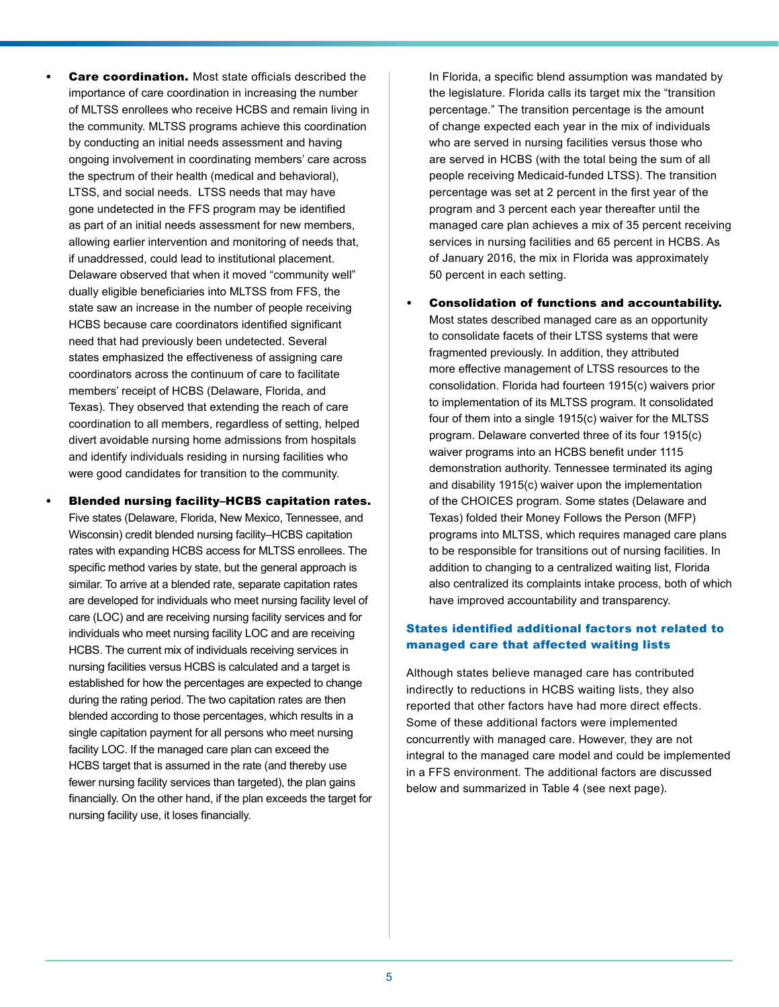- **Care coordination.** Most state officials described the importance of care coordination in increasing the number of MLTSS enrollees who receive HCBS and remain living in the community. MLTSS programs achieve this coordination by conducting an initial needs assessment and having ongoing involvement in coordinating members' care across the spectrum of their health (medical and behavioral), LTSS, and social needs. LTSS needs that may have gone undetected in the FFS program may be identified as part of an initial needs assessment for new members, allowing earlier intervention and monitoring of needs that, if unaddressed, could lead to institutional placement. Delaware observed that when it moved "community well" dually eligible beneficiaries into MLTSS from FFS, the state saw an increase in the number of people receiving HCBS because care coordinators identified significant need that had previously been undetected. Several states emphasized the effectiveness of assigning care coordinators across the continuum of care to facilitate members' receipt of HCBS (Delaware, Florida, and Texas). They observed that extending the reach of care coordination to all members, regardless of setting, helped divert avoidable nursing home admissions from hospitals and identify individuals residing in nursing facilities who were good candidates for transition to the community.
- Blended nursing facility–HCBS capitation rates. Five states (Delaware, Florida, New Mexico, Tennessee, and Wisconsin) credit blended nursing facility–HCBS capitation rates with expanding HCBS access for MLTSS enrollees. The specific method varies by state, but the general approach is similar. To arrive at a blended rate, separate capitation rates are developed for individuals who meet nursing facility level of care (LOC) and are receiving nursing facility services and for individuals who meet nursing facility LOC and are receiving HCBS. The current mix of individuals receiving services in nursing facilities versus HCBS is calculated and a target is established for how the percentages are expected to change during the rating period. The two capitation rates are then blended according to those percentages, which results in a single capitation payment for all persons who meet nursing facility LOC. If the managed care plan can exceed the HCBS target that is assumed in the rate (and thereby use fewer nursing facility services than targeted), the plan gains financially. On the other hand, if the plan exceeds the target for nursing facility use, it loses financially.

In Florida, a specific blend assumption was mandated by the legislature. Florida calls its target mix the "transition percentage." The transition percentage is the amount of change expected each year in the mix of individuals who are served in nursing facilities versus those who are served in HCBS (with the total being the sum of all people receiving Medicaid-funded LTSS). The transition percentage was set at 2 percent in the first year of the program and 3 percent each year thereafter until the managed care plan achieves a mix of 35 percent receiving services in nursing facilities and 65 percent in HCBS. As of January 2016, the mix in Florida was approximately 50 percent in each setting.

Consolidation of functions and accountability.

Most states described managed care as an opportunity to consolidate facets of their LTSS systems that were fragmented previously. In addition, they attributed more effective management of LTSS resources to the consolidation. Florida had fourteen 1915(c) waivers prior to implementation of its MLTSS program. It consolidated four of them into a single 1915(c) waiver for the MLTSS program. Delaware converted three of its four 1915(c) waiver programs into an HCBS benefit under 1115 demonstration authority. Tennessee terminated its aging and disability 1915(c) waiver upon the implementation of the CHOICES program. Some states (Delaware and Texas) folded their Money Follows the Person (MFP) programs into MLTSS, which requires managed care plans to be responsible for transitions out of nursing facilities. In addition to changing to a centralized waiting list, Florida also centralized its complaints intake process, both of which have improved accountability and transparency.

## States identified additional factors not related to managed care that affected waiting lists

Although states believe managed care has contributed indirectly to reductions in HCBS waiting lists, they also reported that other factors have had more direct effects. Some of these additional factors were implemented concurrently with managed care. However, they are not integral to the managed care model and could be implemented in a FFS environment. The additional factors are discussed below and summarized in Table 4 (see next page).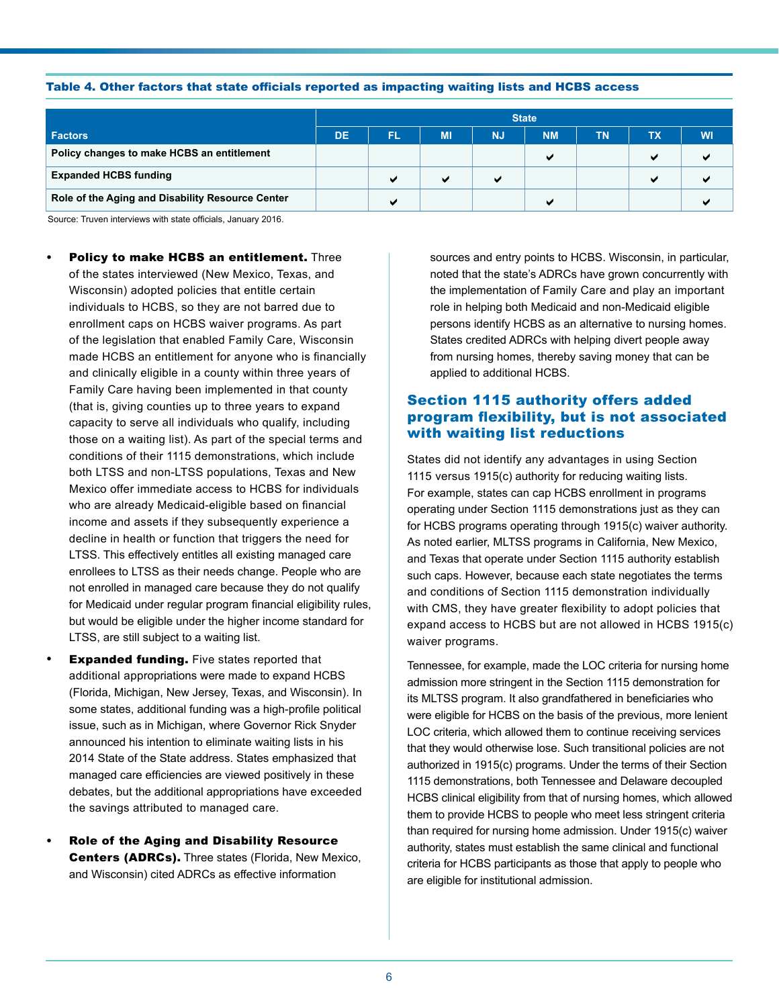#### Table 4. Other factors that state officials reported as impacting waiting lists and HCBS access

|                                                  | <b>State</b> |    |           |                |           |           |                |           |
|--------------------------------------------------|--------------|----|-----------|----------------|-----------|-----------|----------------|-----------|
| <b>Factors</b>                                   | DE           | FL | <b>MI</b> | <b>NJ</b>      | <b>NM</b> | <b>TN</b> | TХ             | <b>WI</b> |
| Policy changes to make HCBS an entitlement       |              |    |           |                | м         |           | $\overline{ }$ | м         |
| <b>Expanded HCBS funding</b>                     |              | м  |           | $\overline{ }$ |           |           | $\overline{ }$ |           |
| Role of the Aging and Disability Resource Center |              | м  |           |                | м         |           |                |           |

Source: Truven interviews with state officials, January 2016.

- Policy to make HCBS an entitlement. Three of the states interviewed (New Mexico, Texas, and Wisconsin) adopted policies that entitle certain individuals to HCBS, so they are not barred due to enrollment caps on HCBS waiver programs. As part of the legislation that enabled Family Care, Wisconsin made HCBS an entitlement for anyone who is financially and clinically eligible in a county within three years of Family Care having been implemented in that county (that is, giving counties up to three years to expand capacity to serve all individuals who qualify, including those on a waiting list). As part of the special terms and conditions of their 1115 demonstrations, which include both LTSS and non-LTSS populations, Texas and New Mexico offer immediate access to HCBS for individuals who are already Medicaid-eligible based on financial income and assets if they subsequently experience a decline in health or function that triggers the need for LTSS. This effectively entitles all existing managed care enrollees to LTSS as their needs change. People who are not enrolled in managed care because they do not qualify for Medicaid under regular program financial eligibility rules, but would be eligible under the higher income standard for LTSS, are still subject to a waiting list.
	- **Expanded funding.** Five states reported that additional appropriations were made to expand HCBS (Florida, Michigan, New Jersey, Texas, and Wisconsin). In some states, additional funding was a high-profile political issue, such as in Michigan, where Governor Rick Snyder announced his intention to eliminate waiting lists in his 2014 State of the State address. States emphasized that managed care efficiencies are viewed positively in these debates, but the additional appropriations have exceeded the savings attributed to managed care.
- **Role of the Aging and Disability Resource** Centers (ADRCs). Three states (Florida, New Mexico, and Wisconsin) cited ADRCs as effective information

sources and entry points to HCBS. Wisconsin, in particular, noted that the state's ADRCs have grown concurrently with the implementation of Family Care and play an important role in helping both Medicaid and non-Medicaid eligible persons identify HCBS as an alternative to nursing homes. States credited ADRCs with helping divert people away from nursing homes, thereby saving money that can be applied to additional HCBS.

## Section 1115 authority offers added program flexibility, but is not associated with waiting list reductions

States did not identify any advantages in using Section 1115 versus 1915(c) authority for reducing waiting lists. For example, states can cap HCBS enrollment in programs operating under Section 1115 demonstrations just as they can for HCBS programs operating through 1915(c) waiver authority. As noted earlier, MLTSS programs in California, New Mexico, and Texas that operate under Section 1115 authority establish such caps. However, because each state negotiates the terms and conditions of Section 1115 demonstration individually with CMS, they have greater flexibility to adopt policies that expand access to HCBS but are not allowed in HCBS 1915(c) waiver programs.

Tennessee, for example, made the LOC criteria for nursing home admission more stringent in the Section 1115 demonstration for its MLTSS program. It also grandfathered in beneficiaries who were eligible for HCBS on the basis of the previous, more lenient LOC criteria, which allowed them to continue receiving services that they would otherwise lose. Such transitional policies are not authorized in 1915(c) programs. Under the terms of their Section 1115 demonstrations, both Tennessee and Delaware decoupled HCBS clinical eligibility from that of nursing homes, which allowed them to provide HCBS to people who meet less stringent criteria than required for nursing home admission. Under 1915(c) waiver authority, states must establish the same clinical and functional criteria for HCBS participants as those that apply to people who are eligible for institutional admission.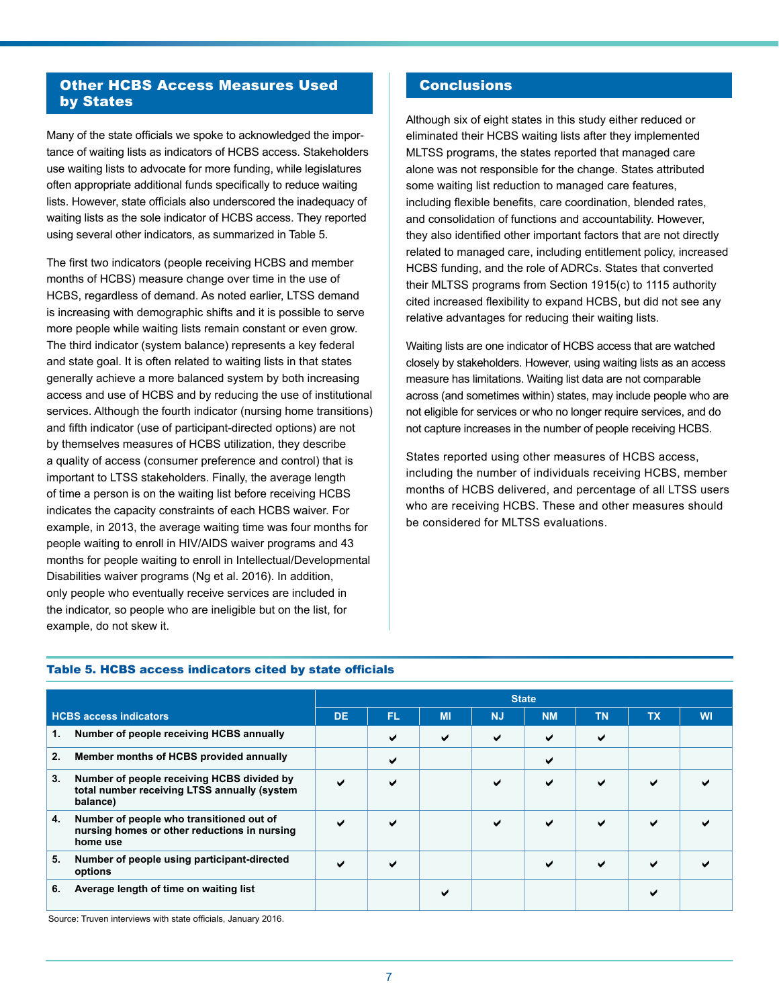# Other HCBS Access Measures Used by States

Many of the state officials we spoke to acknowledged the importance of waiting lists as indicators of HCBS access. Stakeholders use waiting lists to advocate for more funding, while legislatures often appropriate additional funds specifically to reduce waiting lists. However, state officials also underscored the inadequacy of waiting lists as the sole indicator of HCBS access. They reported using several other indicators, as summarized in Table 5.

The first two indicators (people receiving HCBS and member months of HCBS) measure change over time in the use of HCBS, regardless of demand. As noted earlier, LTSS demand is increasing with demographic shifts and it is possible to serve more people while waiting lists remain constant or even grow. The third indicator (system balance) represents a key federal and state goal. It is often related to waiting lists in that states generally achieve a more balanced system by both increasing access and use of HCBS and by reducing the use of institutional services. Although the fourth indicator (nursing home transitions) and fifth indicator (use of participant-directed options) are not by themselves measures of HCBS utilization, they describe a quality of access (consumer preference and control) that is important to LTSS stakeholders. Finally, the average length of time a person is on the waiting list before receiving HCBS indicates the capacity constraints of each HCBS waiver. For example, in 2013, the average waiting time was four months for people waiting to enroll in HIV/AIDS waiver programs and 43 months for people waiting to enroll in Intellectual/Developmental Disabilities waiver programs (Ng et al. 2016). In addition, only people who eventually receive services are included in the indicator, so people who are ineligible but on the list, for example, do not skew it.

## **Conclusions**

Although six of eight states in this study either reduced or eliminated their HCBS waiting lists after they implemented MLTSS programs, the states reported that managed care alone was not responsible for the change. States attributed some waiting list reduction to managed care features, including flexible benefits, care coordination, blended rates, and consolidation of functions and accountability. However, they also identified other important factors that are not directly related to managed care, including entitlement policy, increased HCBS funding, and the role of ADRCs. States that converted their MLTSS programs from Section 1915(c) to 1115 authority cited increased flexibility to expand HCBS, but did not see any relative advantages for reducing their waiting lists.

Waiting lists are one indicator of HCBS access that are watched closely by stakeholders. However, using waiting lists as an access measure has limitations. Waiting list data are not comparable across (and sometimes within) states, may include people who are not eligible for services or who no longer require services, and do not capture increases in the number of people receiving HCBS.

States reported using other measures of HCBS access, including the number of individuals receiving HCBS, member months of HCBS delivered, and percentage of all LTSS users who are receiving HCBS. These and other measures should be considered for MLTSS evaluations.

|                               |                                                                                                        | <b>State</b> |                          |           |              |              |           |           |           |
|-------------------------------|--------------------------------------------------------------------------------------------------------|--------------|--------------------------|-----------|--------------|--------------|-----------|-----------|-----------|
| <b>HCBS access indicators</b> |                                                                                                        | DE.          | <b>FL</b>                | <b>MI</b> | <b>NJ</b>    | <b>NM</b>    | <b>TN</b> | <b>TX</b> | <b>WI</b> |
| 1.                            | Number of people receiving HCBS annually                                                               |              | ✔                        | ✔         | ✔            | ✔            | ✔         |           |           |
| 2.                            | Member months of HCBS provided annually                                                                |              | ✔                        |           |              | ✔            |           |           |           |
| 3.                            | Number of people receiving HCBS divided by<br>total number receiving LTSS annually (system<br>balance) | ✔            | ◡                        |           | $\checkmark$ | ✔            | ✔         | ✔         |           |
| 4.                            | Number of people who transitioned out of<br>nursing homes or other reductions in nursing<br>home use   | ✔            | ✔                        |           | $\checkmark$ | $\checkmark$ | ✔         | ✔         |           |
| 5.                            | Number of people using participant-directed<br>options                                                 |              | $\overline{\phantom{0}}$ |           |              | $\checkmark$ | ✔         | ✔         |           |
| 6.                            | Average length of time on waiting list                                                                 |              |                          |           |              |              |           | ✔         |           |

### Table 5. HCBS access indicators cited by state officials

Source: Truven interviews with state officials, January 2016.